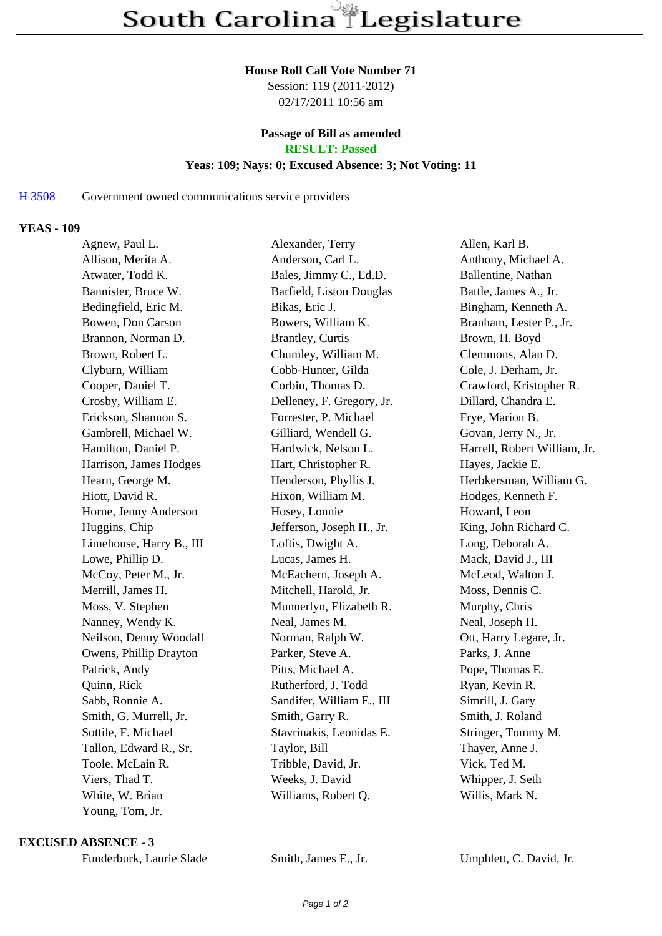#### **House Roll Call Vote Number 71**

Session: 119 (2011-2012) 02/17/2011 10:56 am

# **Passage of Bill as amended**

**RESULT: Passed**

# **Yeas: 109; Nays: 0; Excused Absence: 3; Not Voting: 11**

## H 3508 Government owned communications service providers

#### **YEAS - 109**

| Agnew, Paul L.           | Alexander, Terry          | Allen, Karl B.               |
|--------------------------|---------------------------|------------------------------|
| Allison, Merita A.       | Anderson, Carl L.         | Anthony, Michael A.          |
| Atwater, Todd K.         | Bales, Jimmy C., Ed.D.    | Ballentine, Nathan           |
| Bannister, Bruce W.      | Barfield, Liston Douglas  | Battle, James A., Jr.        |
| Bedingfield, Eric M.     | Bikas, Eric J.            | Bingham, Kenneth A.          |
| Bowen, Don Carson        | Bowers, William K.        | Branham, Lester P., Jr.      |
| Brannon, Norman D.       | <b>Brantley</b> , Curtis  | Brown, H. Boyd               |
| Brown, Robert L.         | Chumley, William M.       | Clemmons, Alan D.            |
| Clyburn, William         | Cobb-Hunter, Gilda        | Cole, J. Derham, Jr.         |
| Cooper, Daniel T.        | Corbin, Thomas D.         | Crawford, Kristopher R.      |
| Crosby, William E.       | Delleney, F. Gregory, Jr. | Dillard, Chandra E.          |
| Erickson, Shannon S.     | Forrester, P. Michael     | Frye, Marion B.              |
| Gambrell, Michael W.     | Gilliard, Wendell G.      | Govan, Jerry N., Jr.         |
| Hamilton, Daniel P.      | Hardwick, Nelson L.       | Harrell, Robert William, Jr. |
| Harrison, James Hodges   | Hart, Christopher R.      | Hayes, Jackie E.             |
| Hearn, George M.         | Henderson, Phyllis J.     | Herbkersman, William G.      |
| Hiott, David R.          | Hixon, William M.         | Hodges, Kenneth F.           |
| Horne, Jenny Anderson    | Hosey, Lonnie             | Howard, Leon                 |
| Huggins, Chip            | Jefferson, Joseph H., Jr. | King, John Richard C.        |
| Limehouse, Harry B., III | Loftis, Dwight A.         | Long, Deborah A.             |
| Lowe, Phillip D.         | Lucas, James H.           | Mack, David J., III          |
| McCoy, Peter M., Jr.     | McEachern, Joseph A.      | McLeod, Walton J.            |
| Merrill, James H.        | Mitchell, Harold, Jr.     | Moss, Dennis C.              |
| Moss, V. Stephen         | Munnerlyn, Elizabeth R.   | Murphy, Chris                |
| Nanney, Wendy K.         | Neal, James M.            | Neal, Joseph H.              |
| Neilson, Denny Woodall   | Norman, Ralph W.          | Ott, Harry Legare, Jr.       |
| Owens, Phillip Drayton   | Parker, Steve A.          | Parks, J. Anne               |
| Patrick, Andy            | Pitts, Michael A.         | Pope, Thomas E.              |
| Quinn, Rick              | Rutherford, J. Todd       | Ryan, Kevin R.               |
| Sabb, Ronnie A.          | Sandifer, William E., III | Simrill, J. Gary             |
| Smith, G. Murrell, Jr.   | Smith, Garry R.           | Smith, J. Roland             |
| Sottile, F. Michael      | Stavrinakis, Leonidas E.  | Stringer, Tommy M.           |
| Tallon, Edward R., Sr.   | Taylor, Bill              | Thayer, Anne J.              |
| Toole, McLain R.         | Tribble, David, Jr.       | Vick, Ted M.                 |
| Viers, Thad T.           | Weeks, J. David           | Whipper, J. Seth             |
| White, W. Brian          | Williams, Robert Q.       | Willis, Mark N.              |
| Young, Tom, Jr.          |                           |                              |

#### **EXCUSED ABSENCE - 3**

Smith, James E., Jr. Umphlett, C. David, Jr.